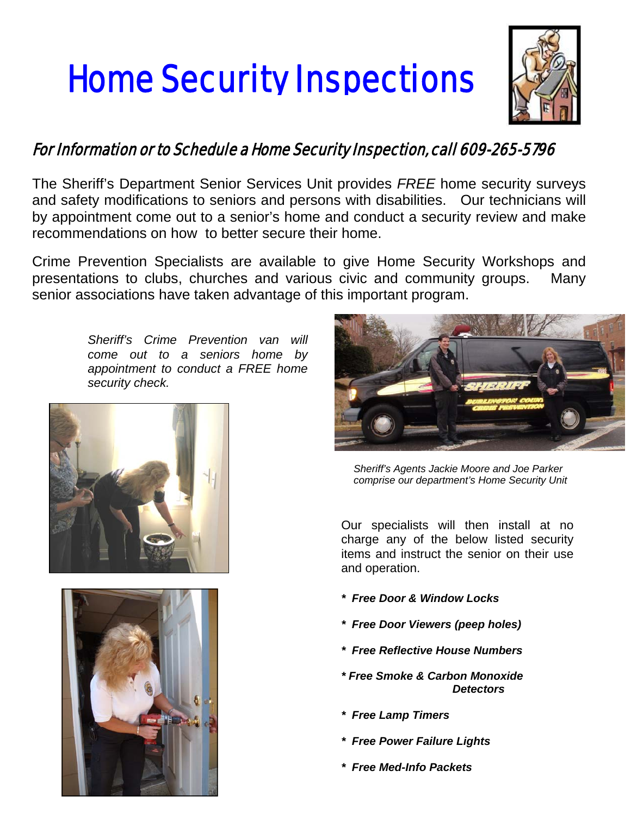## Home Security Inspections



## For Information or to Schedule a Home Security Inspection, call 609-265-5796

The Sheriff's Department Senior Services Unit provides *FREE* home security surveys and safety modifications to seniors and persons with disabilities. Our technicians will by appointment come out to a senior's home and conduct a security review and make recommendations on how to better secure their home.

Crime Prevention Specialists are available to give Home Security Workshops and presentations to clubs, churches and various civic and community groups. Many senior associations have taken advantage of this important program.

> *Sheriff's Crime Prevention van will come out to a seniors home by appointment to conduct a FREE home security check.*







*Sheriff's Agents Jackie Moore and Joe Parker comprise our department's Home Security Unit* 

Our specialists will then install at no charge any of the below listed security items and instruct the senior on their use and operation.

- *\* Free Door & Window Locks*
- *\* Free Door Viewers (peep holes)*
- *\* Free Reflective House Numbers*
- *\* Free Smoke & Carbon Monoxide Detectors*
- *\* Free Lamp Timers*
- *\* Free Power Failure Lights*
- *\* Free Med-Info Packets*